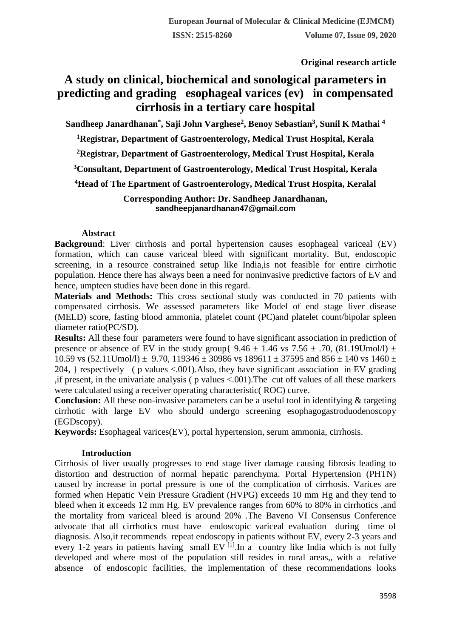**Original research article** 

# **A study on clinical, biochemical and sonological parameters in predicting and grading esophageal varices (ev) in compensated cirrhosis in a tertiary care hospital**

**Sandheep Janardhanan\* , Saji John Varghese<sup>2</sup> , Benoy Sebastian<sup>3</sup> , Sunil K Mathai <sup>4</sup>**

**<sup>1</sup>Registrar, Department of Gastroenterology, Medical Trust Hospital, Kerala**

**<sup>2</sup>Registrar, Department of Gastroenterology, Medical Trust Hospital, Kerala**

**<sup>3</sup>Consultant, Department of Gastroenterology, Medical Trust Hospital, Kerala** 

**<sup>4</sup>Head of The Epartment of Gastroenterology, Medical Trust Hospita, Keralal**

#### **Corresponding Author: Dr. Sandheep Janardhanan, sandheepjanardhanan47@gmail.com**

### **Abstract**

**Background**: Liver cirrhosis and portal hypertension causes esophageal variceal (EV) formation, which can cause variceal bleed with significant mortality. But, endoscopic screening, in a resource constrained setup like India,is not feasible for entire cirrhotic population. Hence there has always been a need for noninvasive predictive factors of EV and hence, umpteen studies have been done in this regard.

**Materials and Methods:** This cross sectional study was conducted in 70 patients with compensated cirrhosis. We assessed parameters like Model of end stage liver disease (MELD) score, fasting blood ammonia, platelet count (PC)and platelet count/bipolar spleen diameter ratio(PC/SD).

**Results:** All these four parameters were found to have significant association in prediction of presence or absence of EV in the study group{  $9.46 \pm 1.46$  vs  $7.56 \pm .70$ ,  $(81.19$ Umol/l)  $\pm$ 10.59 vs (52.11Umol/l)  $\pm$  9.70, 119346  $\pm$  30986 vs 189611  $\pm$  37595 and 856  $\pm$  140 vs 1460  $\pm$ 204, } respectively ( p values <.001).Also, they have significant association in EV grading ,if present, in the univariate analysis ( p values <.001).The cut off values of all these markers were calculated using a receiver operating characteristic( ROC) curve.

**Conclusion:** All these non-invasive parameters can be a useful tool in identifying & targeting cirrhotic with large EV who should undergo screening esophagogastroduodenoscopy (EGDscopy).

**Keywords:** Esophageal varices(EV), portal hypertension, serum ammonia, cirrhosis.

### **Introduction**

Cirrhosis of liver usually progresses to end stage liver damage causing fibrosis leading to distortion and destruction of normal hepatic parenchyma. Portal Hypertension (PHTN) caused by increase in portal pressure is one of the complication of cirrhosis. Varices are formed when Hepatic Vein Pressure Gradient (HVPG) exceeds 10 mm Hg and they tend to bleed when it exceeds 12 mm Hg. EV prevalence ranges from 60% to 80% in cirrhotics ,and the mortality from variceal bleed is around 20% .The Baveno VI Consensus Conference advocate that all cirrhotics must have endoscopic variceal evaluation during time of diagnosis. Also,it recommends repeat endoscopy in patients without EV, every 2-3 years and every 1-2 years in patients having small  $EV^{[1]}$ . In a country like India which is not fully developed and where most of the population still resides in rural areas,, with a relative absence of endoscopic facilities, the implementation of these recommendations looks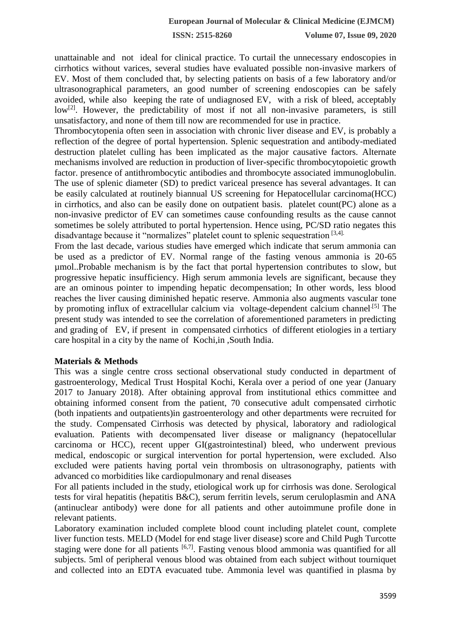unattainable and not ideal for clinical practice. To curtail the unnecessary endoscopies in cirrhotics without varices, several studies have evaluated possible non-invasive markers of EV. Most of them concluded that, by selecting patients on basis of a few laboratory and/or ultrasonographical parameters, an good number of screening endoscopies can be safely avoided, while also keeping the rate of undiagnosed EV, with a risk of bleed, acceptably  $low^{[2]}$ . However, the predictability of most if not all non-invasive parameters, is still unsatisfactory, and none of them till now are recommended for use in practice.

Thrombocytopenia often seen in association with chronic liver disease and EV, is probably a reflection of the degree of portal hypertension. Splenic sequestration and antibody-mediated destruction platelet culling has been implicated as the major causative factors. Alternate mechanisms involved are reduction in production of liver-specific thrombocytopoietic growth factor. presence of antithrombocytic antibodies and thrombocyte associated immunoglobulin. The use of splenic diameter (SD) to predict variceal presence has several advantages. It can be easily calculated at routinely biannual US screening for Hepatocellular carcinoma(HCC) in cirrhotics, and also can be easily done on outpatient basis. platelet count(PC) alone as a non-invasive predictor of EV can sometimes cause confounding results as the cause cannot sometimes be solely attributed to portal hypertension. Hence using, PC/SD ratio negates this disadvantage because it "normalizes" platelet count to splenic sequestration [3,4].

From the last decade, various studies have emerged which indicate that serum ammonia can be used as a predictor of EV. Normal range of the fasting venous ammonia is 20-65 µmol..Probable mechanism is by the fact that portal hypertension contributes to slow, but progressive hepatic insufficiency. High serum ammonia levels are significant, because they are an ominous pointer to impending hepatic decompensation; In other words, less blood reaches the liver causing diminished hepatic reserve. Ammonia also augments vascular tone by promoting influx of extracellular calcium via voltage-dependent calcium channel<sup>[5]</sup> The present study was intended to see the correlation of aforementioned parameters in predicting and grading of EV, if present in compensated cirrhotics of different etiologies in a tertiary care hospital in a city by the name of Kochi,in ,South India.

#### **Materials & Methods**

This was a single centre cross sectional observational study conducted in department of gastroenterology, Medical Trust Hospital Kochi, Kerala over a period of one year (January 2017 to January 2018). After obtaining approval from institutional ethics committee and obtaining informed consent from the patient, 70 consecutive adult compensated cirrhotic (both inpatients and outpatients)in gastroenterology and other departments were recruited for the study. Compensated Cirrhosis was detected by physical, laboratory and radiological evaluation. Patients with decompensated liver disease or malignancy (hepatocellular carcinoma or HCC), recent upper GI(gastrointestinal) bleed, who underwent previous medical, endoscopic or surgical intervention for portal hypertension, were excluded. Also excluded were patients having portal vein thrombosis on ultrasonography, patients with advanced co morbidities like cardiopulmonary and renal diseases

For all patients included in the study, etiological work up for cirrhosis was done. Serological tests for viral hepatitis (hepatitis B&C), serum ferritin levels, serum ceruloplasmin and ANA (antinuclear antibody) were done for all patients and other autoimmune profile done in relevant patients.

Laboratory examination included complete blood count including platelet count, complete liver function tests. MELD (Model for end stage liver disease) score and Child Pugh Turcotte staging were done for all patients <sup>[6,7]</sup>. Fasting venous blood ammonia was quantified for all subjects. 5ml of peripheral venous blood was obtained from each subject without tourniquet and collected into an EDTA evacuated tube. Ammonia level was quantified in plasma by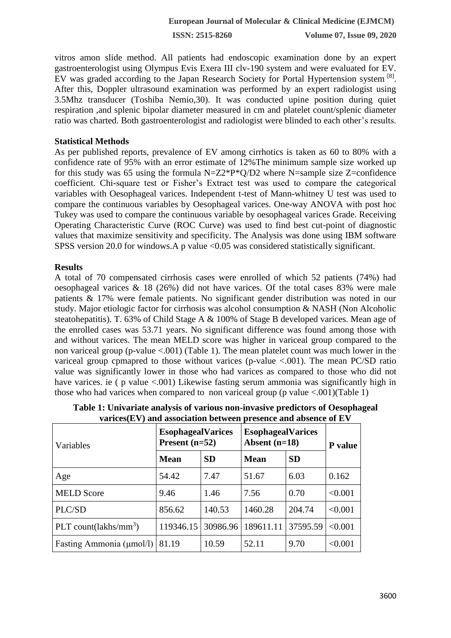vitros amon slide method. All patients had endoscopic examination done by an expert gastroenterologist using Olympus Evis Exera III clv-190 system and were evaluated for EV. EV was graded according to the Japan Research Society for Portal Hypertension system  $[8]$ . After this, Doppler ultrasound examination was performed by an expert radiologist using 3.5Mhz transducer (Toshiba Nemio,30). It was conducted upine position during quiet respiration ,and splenic bipolar diameter measured in cm and platelet count/splenic diameter ratio was charted. Both gastroenterologist and radiologist were blinded to each other's results.

#### **Statistical Methods**

As per published reports, prevalence of EV among cirrhotics is taken as 60 to 80% with a confidence rate of 95% with an error estimate of 12%The minimum sample size worked up for this study was 65 using the formula  $N=Z2*P*Q/D2$  where N=sample size Z=confidence coefficient. Chi-square test or Fisher's Extract test was used to compare the categorical variables with Oesophageal varices. Independent t-test of Mann-whitney U test was used to compare the continuous variables by Oesophageal varices. One-way ANOVA with post hoc Tukey was used to compare the continuous variable by oesophageal varices Grade. Receiving Operating Characteristic Curve (ROC Curve) was used to find best cut-point of diagnostic values that maximize sensitivity and specificity. The Analysis was done using IBM software SPSS version 20.0 for windows.A p value <0.05 was considered statistically significant.

#### **Results**

A total of 70 compensated cirrhosis cases were enrolled of which 52 patients (74%) had oesophageal varices & 18 (26%) did not have varices. Of the total cases 83% were male patients & 17% were female patients. No significant gender distribution was noted in our study. Major etiologic factor for cirrhosis was alcohol consumption & NASH (Non Alcoholic steatohepatitis). T. 63% of Child Stage A & 100% of Stage B developed varices. Mean age of the enrolled cases was 53.71 years. No significant difference was found among those with and without varices. The mean MELD score was higher in variceal group compared to the non variceal group (p-value <.001) (Table 1). The mean platelet count was much lower in the variceal group cpmapred to those without varices (p-value <.001). The mean PC/SD ratio value was significantly lower in those who had varices as compared to those who did not have varices, ie ( p value <.001) Likewise fasting serum ammonia was significantly high in those who had varices when compared to non variceal group (p value  $\langle .001 \rangle$ (Table 1)

| Variables                              | <b>EsophagealVarices</b><br>Present $(n=52)$ |           | <b>EsophagealVarices</b><br>Absent $(n=18)$ |           | P value |  |
|----------------------------------------|----------------------------------------------|-----------|---------------------------------------------|-----------|---------|--|
|                                        | <b>Mean</b>                                  | <b>SD</b> | <b>Mean</b>                                 | <b>SD</b> |         |  |
| Age                                    | 54.42                                        | 7.47      | 51.67                                       | 6.03      | 0.162   |  |
| <b>MELD</b> Score                      | 9.46                                         | 1.46      | 7.56                                        | 0.70      | < 0.001 |  |
| PLC/SD                                 | 856.62                                       | 140.53    | 1460.28                                     | 204.74    | < 0.001 |  |
| PLT count(lakhs/mm <sup>3</sup> )      | 119346.15                                    | 30986.96  | 189611.11                                   | 37595.59  | < 0.001 |  |
| Fasting Ammonia ( $\mu$ mol/l)   81.19 |                                              | 10.59     | 52.11                                       | 9.70      | < 0.001 |  |

**Table 1: Univariate analysis of various non-invasive predictors of Oesophageal varices(EV) and association between presence and absence of EV**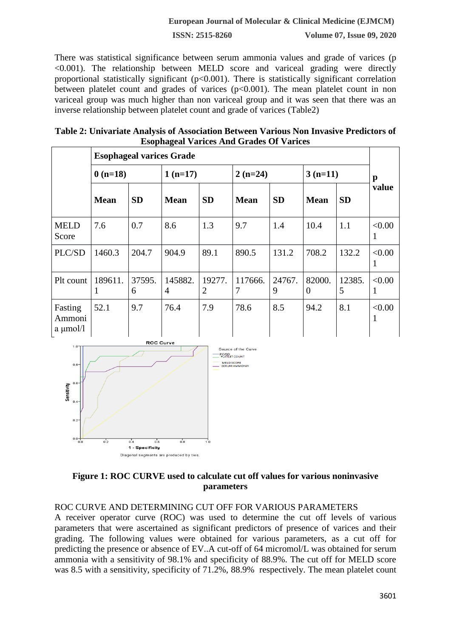#### **European Journal of Molecular & Clinical Medicine (EJMCM)**

**ISSN: 2515-8260 Volume 07, Issue 09, 2020**

There was statistical significance between serum ammonia values and grade of varices (p <0.001). The relationship between MELD score and variceal grading were directly proportional statistically significant  $(p<0.001)$ . There is statistically significant correlation between platelet count and grades of varices  $(p<0.001)$ . The mean platelet count in non variceal group was much higher than non variceal group and it was seen that there was an inverse relationship between platelet count and grade of varices (Table2)

| Table 2: Univariate Analysis of Association Between Various Non Invasive Predictors of |
|----------------------------------------------------------------------------------------|
| <b>Esophageal Varices And Grades Of Varices</b>                                        |

|                                    | <b>Esophageal varices Grade</b> |             |              |             |              |             |                    |             |             |  |
|------------------------------------|---------------------------------|-------------|--------------|-------------|--------------|-------------|--------------------|-------------|-------------|--|
|                                    | $0(n=18)$                       |             | $1(n=17)$    |             | $2(n=24)$    |             | $3(n=11)$          |             | p           |  |
|                                    | <b>Mean</b>                     | <b>SD</b>   | <b>Mean</b>  | <b>SD</b>   | <b>Mean</b>  | <b>SD</b>   | <b>Mean</b>        | <b>SD</b>   | value       |  |
| <b>MELD</b><br>Score               | 7.6                             | 0.7         | 8.6          | 1.3         | 9.7          | 1.4         | 10.4               | 1.1         | < 0.00<br>1 |  |
| PLC/SD                             | 1460.3                          | 204.7       | 904.9        | 89.1        | 890.5        | 131.2       | 708.2              | 132.2       | < 0.00<br>1 |  |
| Plt count                          | 189611.<br>-1                   | 37595.<br>6 | 145882.<br>4 | 19277.<br>2 | 117666.<br>7 | 24767.<br>9 | 82000.<br>$\theta$ | 12385.<br>5 | < 0.00<br>1 |  |
| Fasting<br>Ammoni<br>a $\mu$ mol/l | 52.1                            | 9.7         | 76.4         | 7.9         | 78.6         | 8.5         | 94.2               | 8.1         | < 0.00<br>1 |  |



## **Figure 1: ROC CURVE used to calculate cut off values for various noninvasive parameters**

## ROC CURVE AND DETERMINING CUT OFF FOR VARIOUS PARAMETERS

A receiver operator curve (ROC) was used to determine the cut off levels of various parameters that were ascertained as significant predictors of presence of varices and their grading. The following values were obtained for various parameters, as a cut off for predicting the presence or absence of EV..A cut-off of 64 micromol/L was obtained for serum ammonia with a sensitivity of 98.1% and specificity of 88.9%. The cut off for MELD score was 8.5 with a sensitivity, specificity of 71.2%, 88.9% respectively. The mean platelet count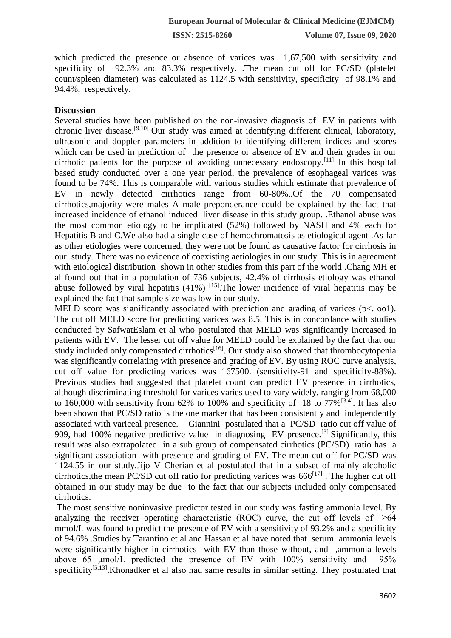which predicted the presence or absence of varices was 1,67,500 with sensitivity and specificity of 92.3% and 83.3% respectively. .The mean cut off for PC/SD (platelet count/spleen diameter) was calculated as 1124.5 with sensitivity, specificity of 98.1% and 94.4%, respectively.

#### **Discussion**

Several studies have been published on the non-invasive diagnosis of EV in patients with chronic liver disease.[9,10] Our study was aimed at identifying different clinical, laboratory, ultrasonic and doppler parameters in addition to identifying different indices and scores which can be used in prediction of the presence or absence of EV and their grades in our cirrhotic patients for the purpose of avoiding unnecessary endoscopy.<sup>[11]</sup> In this hospital based study conducted over a one year period, the prevalence of esophageal varices was found to be 74%. This is comparable with various studies which estimate that prevalence of EV in newly detected cirrhotics range from 60-80%..Of the 70 compensated cirrhotics,majority were males A male preponderance could be explained by the fact that increased incidence of ethanol induced liver disease in this study group. .Ethanol abuse was the most common etiology to be implicated (52%) followed by NASH and 4% each for Hepatitis B and C.We also had a single case of hemochromatosis as etiological agent .As far as other etiologies were concerned, they were not be found as causative factor for cirrhosis in our study. There was no evidence of coexisting aetiologies in our study. This is in agreement with etiological distribution shown in other studies from this part of the world .Chang MH et al found out that in a population of 736 subjects, 42.4% of cirrhosis etiology was ethanol abuse followed by viral hepatitis  $(41\%)$  <sup>[15]</sup>. The lower incidence of viral hepatitis may be explained the fact that sample size was low in our study.

MELD score was significantly associated with prediction and grading of varices (p<. oo1). The cut off MELD score for predicting varices was 8.5. This is in concordance with studies conducted by SafwatEslam et al who postulated that MELD was significantly increased in patients with EV. The lesser cut off value for MELD could be explained by the fact that our study included only compensated cirrhotics<sup>[16]</sup>. Our study also showed that thrombocytopenia was significantly correlating with presence and grading of EV. By using ROC curve analysis, cut off value for predicting varices was 167500. (sensitivity-91 and specificity-88%). Previous studies had suggested that platelet count can predict EV presence in cirrhotics, although discriminating threshold for varices varies used to vary widely, ranging from 68,000 to 160,000 with sensitivity from 62% to 100% and specificity of 18 to  $77\%^{[3,4]}$ . It has also been shown that PC/SD ratio is the one marker that has been consistently and independently associated with variceal presence. Giannini postulated that a PC/SD ratio cut off value of 909, had 100% negative predictive value in diagnosing EV presence.<sup>[3]</sup> Significantly, this result was also extrapolated in a sub group of compensated cirrhotics (PC/SD) ratio has a significant association with presence and grading of EV. The mean cut off for PC/SD was 1124.55 in our study.Jijo V Cherian et al postulated that in a subset of mainly alcoholic cirrhotics, the mean PC/SD cut off ratio for predicting varices was  $666^{[17]}$ . The higher cut off obtained in our study may be due to the fact that our subjects included only compensated cirrhotics.

The most sensitive noninvasive predictor tested in our study was fasting ammonia level. By analyzing the receiver operating characteristic (ROC) curve, the cut off levels of  $\geq 64$ mmol/L was found to predict the presence of EV with a sensitivity of 93.2% and a specificity of 94.6% .Studies by Tarantino et al and Hassan et al have noted that serum ammonia levels were significantly higher in cirrhotics with EV than those without, and ,ammonia levels above 65 μmol/L predicted the presence of EV with 100% sensitivity and 95% specificity<sup>[5,13]</sup>.Khonadker et al also had same results in similar setting. They postulated that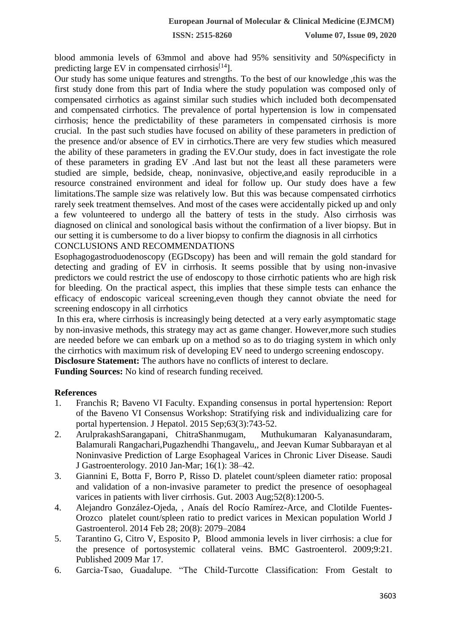blood ammonia levels of 63mmol and above had 95% sensitivity and 50%specificty in predicting large EV in compensated cirrhosis<sup>[14</sup>].

Our study has some unique features and strengths. To the best of our knowledge ,this was the first study done from this part of India where the study population was composed only of compensated cirrhotics as against similar such studies which included both decompensated and compensated cirrhotics. The prevalence of portal hypertension is low in compensated cirrhosis; hence the predictability of these parameters in compensated cirrhosis is more crucial. In the past such studies have focused on ability of these parameters in prediction of the presence and/or absence of EV in cirrhotics.There are very few studies which measured the ability of these parameters in grading the EV.Our study, does in fact investigate the role of these parameters in grading EV .And last but not the least all these parameters were studied are simple, bedside, cheap, noninvasive, objective,and easily reproducible in a resource constrained environment and ideal for follow up. Our study does have a few limitations.The sample size was relatively low. But this was because compensated cirrhotics rarely seek treatment themselves. And most of the cases were accidentally picked up and only a few volunteered to undergo all the battery of tests in the study. Also cirrhosis was diagnosed on clinical and sonological basis without the confirmation of a liver biopsy. But in our setting it is cumbersome to do a liver biopsy to confirm the diagnosis in all cirrhotics

## CONCLUSIONS AND RECOMMENDATIONS

Esophagogastroduodenoscopy (EGDscopy) has been and will remain the gold standard for detecting and grading of EV in cirrhosis. It seems possible that by using non-invasive predictors we could restrict the use of endoscopy to those cirrhotic patients who are high risk for bleeding. On the practical aspect, this implies that these simple tests can enhance the efficacy of endoscopic variceal screening,even though they cannot obviate the need for screening endoscopy in all cirrhotics

In this era, where cirrhosis is increasingly being detected at a very early asymptomatic stage by non-invasive methods, this strategy may act as game changer. However,more such studies are needed before we can embark up on a method so as to do triaging system in which only the cirrhotics with maximum risk of developing EV need to undergo screening endoscopy.

**Disclosure Statement:** The authors have no conflicts of interest to declare.

**Funding Sources:** No kind of research funding received.

### **References**

- 1. Franchis R; Baveno VI Faculty. Expanding consensus in portal hypertension: Report of the Baveno VI Consensus Workshop: Stratifying risk and individualizing care for portal hypertension. J Hepatol. 2015 Sep;63(3):743-52.
- 2. ArulprakashSarangapani, ChitraShanmugam, Muthukumaran Kalyanasundaram, Balamurali Rangachari,Pugazhendhi Thangavelu,, and Jeevan Kumar Subbarayan et al Noninvasive Prediction of Large Esophageal Varices in Chronic Liver Disease. Saudi J Gastroenterology. 2010 Jan-Mar; 16(1): 38–42.
- 3. Giannini E, Botta F, Borro P, Risso D. platelet count/spleen diameter ratio: proposal and validation of a non-invasive parameter to predict the presence of oesophageal varices in patients with liver cirrhosis. Gut. 2003 Aug;52(8):1200-5.
- 4. Alejandro González-Ojeda, , Anaís del Rocío Ramírez-Arce, and Clotilde Fuentes-Orozco platelet count/spleen ratio to predict varices in Mexican population World J Gastroenterol. 2014 Feb 28; 20(8): 2079–2084
- 5. Tarantino G, Citro V, Esposito P, Blood ammonia levels in liver cirrhosis: a clue for the presence of portosystemic collateral veins. BMC Gastroenterol. 2009;9:21. Published 2009 Mar 17.
- 6. Garcia-Tsao, Guadalupe. "The Child-Turcotte Classification: From Gestalt to